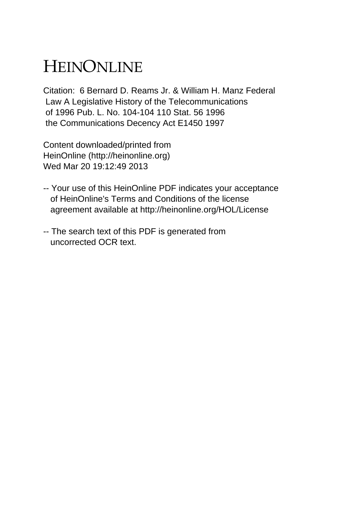# HEINONLINE

Citation: 6 Bernard D. Reams Jr. & William H. Manz Federal Law A Legislative History of the Telecommunications of 1996 Pub. L. No. 104-104 110 Stat. 56 1996 the Communications Decency Act E1450 1997

Content downloaded/printed from HeinOnline (http://heinonline.org) Wed Mar 20 19:12:49 2013

- -- Your use of this HeinOnline PDF indicates your acceptance of HeinOnline's Terms and Conditions of the license agreement available at http://heinonline.org/HOL/License
- -- The search text of this PDF is generated from uncorrected OCR text.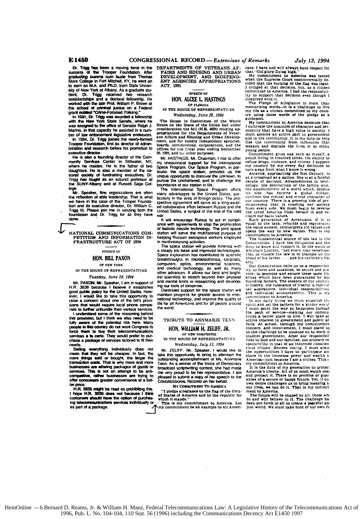Dr. Trigg has been a moving force in the success of the Trooper Foundation. After graduating suggest cum laude from Thomas More College in Fort Mitchell, KY, he went on<br>to earn an M.A. and Ph.D. from State University of New York at Afbany. As a graduate student, Dr. Trigg received two research assistantships and a doctoral fellowship. He vorked with the late Prof. William P. Brown at the school of criminal justice on a Federal grant exit

grant extitled "Crime-Focused Policing."<br>In 1981; Or. Trigg was awarded a fellowship<br>with the New York State Senate, where he was assigned to the office of Senator Ratph J. Marino. In that capacity he assisted in a number of law enforcement legislative endeavors

In 1984, Dr. Trigg joined the newly-formed<br>Trooper Foundation, first as director of administration and research before his promotion to executive director.

He is also a founding director of the Com-<br>munthy Services Center in Stillwater, NY. where he resides. He is the father of two doughters. He is also a member of the national society of fundraising executives. Dr. Trigg has taught as an adjunct professor at<br>the SUNY-Albany and at Russell Sage Col-

ice<br>Mr. Speaker, fine organizations are often<br>All the feadership. That is what the reflection of able leadership. That is what we have in the case of the Trooper Foundation and its executive director, Dr. William C. Trigg III. Please join me in saluting both the<br>foundation and Dr. Trigg for all they have done.

NATIONAL COMMUNICATIONS COM-PETITION AND INFORMATION IN-<br>FRASTRUCTURE ACT OF 1994

#### **SPEECH OF**

## HON. BILL PAXON

OF NEW YORK IN THE HOUSE OF REPRESENTATIVES

## Tuesday, June 28, 1994

Mr. PAXON, Mr. Speaker, I am in support of нÄ 3636 because I believe it establishes good public policy for the United States. However, I would like to take this opportunity to raise a concern about one of the bill's provisions that would require local phone companies to bether unbundle their various services.

I understand some of the reasoning behind this provision, but I think we also ne ed to be fully aware of the potential risk here. Many people in this country do not want Congress to force them to buy their telecommunications<br>services a la carte. They would prefer to purchase a package of services tailored to fit their needs.

belling everything individually does not<br>mean that they will be cheaper. In fact, the<br>more things sold or bought, the larger the transaction costs. That is why more and more businesses are offering packages of goods or services. This is not an attempt to be anticompetitive, rather businesses are trying to offer consumers greater convenience at a better price.

H.R. 3636 might be read as prohibiting this.<br>I hope H.R. 3636 does not because I think ers should have the option of purcha ing telecommunications services individually or as part of a package.

**DEPARTMENTS OF VETERANS AF-<br>FAIRS AND HOUSING AND URBAN<br>DEVELOPMENT, AND INDEPEND-<br>ENT AGENCIES APPROPRIATIONS ACT 1995** 

#### **SPEECH OF** HON. ALCEE L. HASTINGS OP FLORIDA

#### IN THE HOUSE OF REPRESENTATIVES Wednesday, June 29, 1994

House in Committee of the The Whole House on the State of the Union had under<br>consideration the bill (H.R. 4624) making appropriations for the Departments of Veter-<br>ans Affairs and Housing and Urban Development, and for sundry independent agencies,<br>boards, commissions, corporations, and the<br>offices for the fiscal year ending September 30, 1995, and for other purposes:

Mr. HASTINGS, Mr. Chairman, Lrise to offer my unequivocal support for the International<br>Space Program. Our Space Program, in particular the space station, provides us the unique opportunity to discover the unknown, to oursue the unchartered, and to challenge the boundaries of our station in life.

The International Space Program offers advantages to the United States, particularly in the area of foreign policy. The pro-<br>spective agreement will serve as a long-awaited collaborative effort between Russia and the United States, a symbol of the end of the cold war

It will encourage Russia to act in compliance with agreements to stop the proliferation<br>of ballistic missile technology. The joint space station will serve the multifaceted purpose of keeping Russian aerospace workers employed in nonthreatening activities.

The space station will provide America with a steady job base and improved technologies.<br>Space exploration has contributed to scientific breakthroughs in microelectronics, ceramics, computers, optics, environmental sciences, medical technology, as well as many and other advances. It allows our best and brightest scientists to stretch beyond their physical and mental limits in researching and developing our tools of tomorrow.

Continued support for the space station will maintain progress for greater access to international technology, and improve the quality of life for all Americans and for all people around the world.

#### TRIBUTE TO ANNMARIE TENN

### HON. WHIJAM H. ZELIFF. JR. OF NEW HAMPSHIRE

IN THE HOUSE OF REPRESENTATIVES Wednesday, July 13, 1994

Mr. ZELIFF, Mr. Speaker, I would like to take this opportunity to bring to attention the<br>outstanding accomplishment of Ms. Annmarie<br>Tenn. As a winner of the Voice of Democracy broadcast scriptwriting contest, she had made<br>me very proud to be her representative. I am pleased to submit a copy of her speech to the<br>CONGRESSIONAL RECORD on her behalf.

MY COMMITMENT TO AMERICA

"I pledge allegiance to the flag of the United States of America and to the republic for which it stands "

which it status.<br>This is my commitment to America. Let<br>my commitment be an example to all Ameri-

cans. I have and will always have respect for that "Old glory flying high

My commitment to America was tested My commitment to **America** was tested<br>when the Supreme Court controversially de-<br>cided that the burning of the flag was legal.<br>I cripged at that decision, but, as a citizen<br>committed to America, I had the responsibility to

disagreed with it.<br>The Pledge of Allegiance is more than nemorizing words-it is a challenge to live<br>my life as a citizen committed to my coun-<br>try using those words of the pledge as a guidenost.

guargents.<br>
My commitment to America demands that<br>
I cultivate the qualities of character and per-<br>
somality that have a high value in society. I<br>
must assume an active part in government<br>
and in the community. It is my du

weaken and degrade the lives of so many<br>young people.<br>Commitment gives one such as myself, a<br>youth living in troubled times, the ability to<br>refuse drugs, violence, and crimes. I support<br>my country by my every day decisions

at a crossroad as a nation. She is at a facter<br>line at a crossroad as a national decade of decision. Advancements in technology, the destruction of the world which, despite this size, has become a global village, courr co

claim our basic values. These contracts that the claim our basic values.<br>Each generation of Americans, if it is equal to the task, rebuilds and regenerates the value system, reinterprets old values and opens the way to new values. This is iny commitment to America.

The fundamental source of the law is the In transmitted solution. They are bolligation and the<br>duty to know and support it. In the words of<br>Abraham Lincoln, "Let every man remember<br>that to violate the law is to transpie on the<br>blood of his father... and his child ertv

....<br>Our Constitution calls us to a responsibil our construction cannot all a stablish, to secure and provide, to promote and ensure these same liberties which have been guaranteed by our country founding fathers. The essence of our country founding tachers. The essence of there is the substance of the intervals in the substance of liberty is individual control<br>and intervals in the substance of liberty is individual<br>and intervals in the control of the commitm

Thus paint the way to deprive the paint of the paint of service-making our communities a better place to live. I will take at active interest in government and public af fairs. At school, through my commitment concern, and concern, and involvement, a must sometime<br>student government. After our responsibilities to God and our families, our primary re sponsibility is that of an informed conscientions of the sponsibility is that of an informed conscientions of the opportunities I have to participate and

the opportunities in taste to participate and<br>share in the immense power and wealth of<br>America--just because I am a cittzen. This is<br>my committent to America.<br>It is the duty of my generation to protec-<br>America's liberty. A about our desire challenges us to bring meaning to<br>our lives, we can do it. That is my commit<br>ment to America.

The future will be shaped by all, those whe the challenge has the challenge has been put forth to all to create a peaceful and<br>just world. We must take hold of our own fu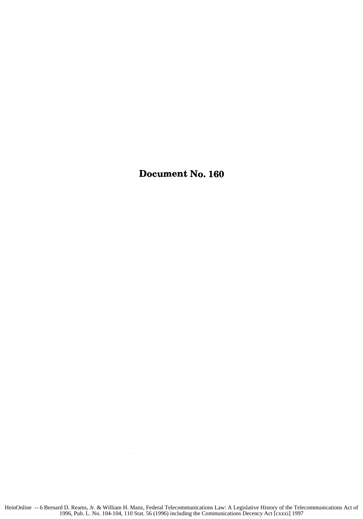Document No. **160**

 $\sim$